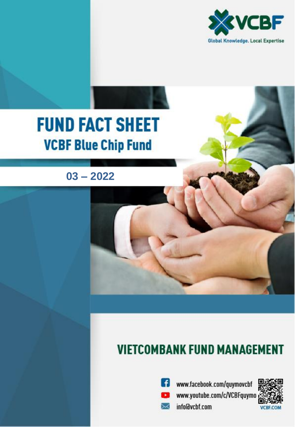

# **FUND FACT SHEET VCBF Blue Chip Fund**

 $03 - 2022$ 

## **VIETCOMBANK FUND MANAGEMENT**



**f** www.facebook.com/quymovcbf www.youtube.com/c/VCBFquymo info@vcbf.com

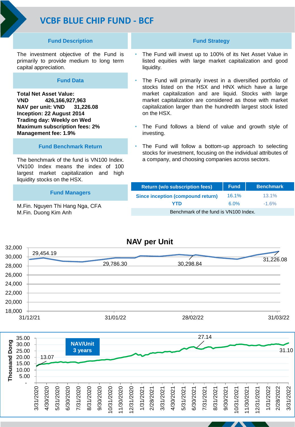## **VCBF BLUE CHIP FUND - BCF**

#### **Fund Description**

The investment objective of the Fund is primarily to provide medium to long term capital appreciation.

#### **Fund Data**

**Total Net Asset Value: VND 426,166,927,963 NAV per unit: VND 31,226.08 Inception: 22 August 2014 Trading day: Weekly on Wed Maximum subscription fees: 2% Management fee: 1.9%** 

#### **Fund Benchmark Return**

The benchmark of the fund is VN100 Index. VN100 Index means the index of 100 largest market capitalization and high liquidity stocks on the HSX.

#### **Fund Managers**

M.Fin. Nguyen Thi Hang Nga, CFA M.Fin. Duong Kim Anh

#### **Fund Strategy**

- The Fund will invest up to 100% of its Net Asset Value in listed equities with large market capitalization and good liquidity.
- The Fund will primarily invest in a diversified portfolio of stocks listed on the HSX and HNX which have a large market capitalization and are liquid. Stocks with large market capitalization are considered as those with market capitalization larger than the hundredth largest stock listed on the HSX.
- The Fund follows a blend of value and growth style of investing.
- The Fund will follow a bottom-up approach to selecting stocks for investment, focusing on the individual attributes of a company, and choosing companies across sectors.

| <b>Return (w/o subscription fees)</b>    | <b>Fund</b> | <b>Benchmark</b> |
|------------------------------------------|-------------|------------------|
| <b>Since inception (compound return)</b> | $16.1\%$    | $13.1\%$         |
| YTD                                      | $6.0\%$     | $-1.6\%$         |
| Benchmark of the fund is VN100 Index.    |             |                  |



#### **NAV per Unit**